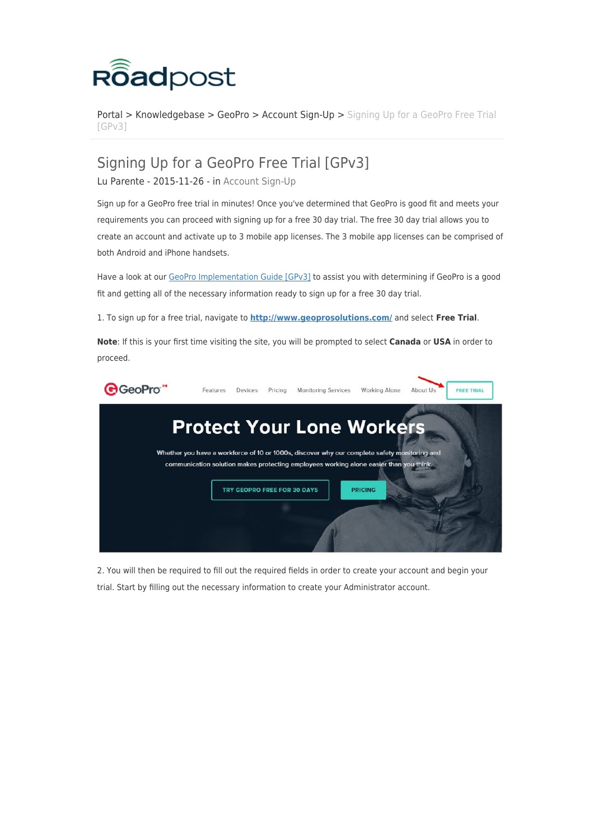

[Portal](https://roadpost.deskpro.com/) > [Knowledgebase](https://roadpost.deskpro.com/kb) > [GeoPro](https://roadpost.deskpro.com/kb/geopro-3) > [Account Sign-Up](https://roadpost.deskpro.com/kb/account-sign-up) > [Signing Up for a GeoPro Free Trial](https://roadpost.deskpro.com/kb/articles/signing-up-for-a-geopro-free-trial-gpv3) [\[GPv3\]](https://roadpost.deskpro.com/kb/articles/signing-up-for-a-geopro-free-trial-gpv3)

## Signing Up for a GeoPro Free Trial [GPv3]

Lu Parente - 2015-11-26 - in [Account Sign-Up](https://roadpost.deskpro.com/kb/account-sign-up)

Sign up for a GeoPro free trial in minutes! Once you've determined that GeoPro is good fit and meets your requirements you can proceed with signing up for a free 30 day trial. The free 30 day trial allows you to create an account and activate up to 3 mobile app licenses. The 3 mobile app licenses can be comprised of both Android and iPhone handsets.

Have a look at our [GeoPro Implementation Guide \[GPv3\]](https://roadpost.deskpro.com/kb/articles/393-geopro-implementation-guide-gpv3) to assist you with determining if GeoPro is a good fit and getting all of the necessary information ready to sign up for a free 30 day trial.

1. To sign up for a free trial, navigate to **<http://www.geoprosolutions.com/>** and select **Free Trial**.

**Note**: If this is your first time visiting the site, you will be prompted to select **Canada** or **USA** in order to proceed.



2. You will then be required to fill out the required fields in order to create your account and begin your trial. Start by filling out the necessary information to create your Administrator account.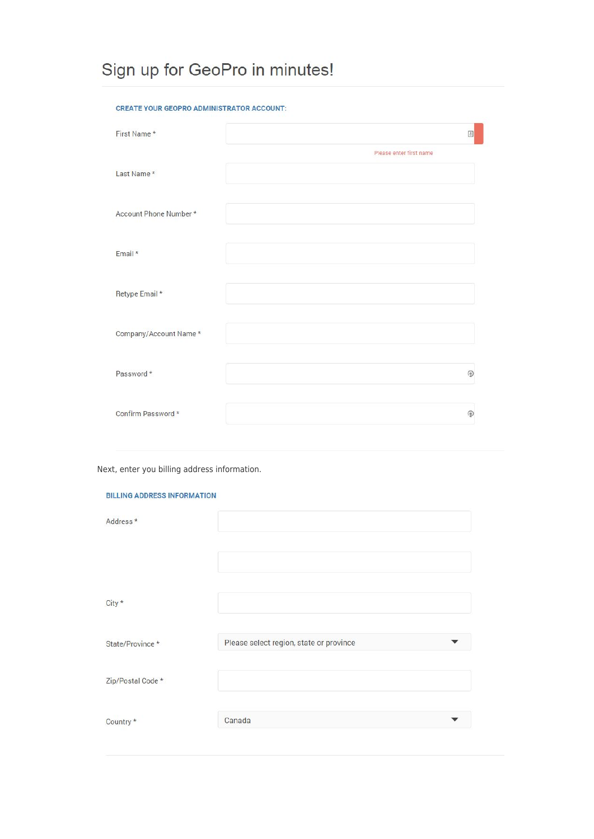# Sign up for GeoPro in minutes!

### CREATE YOUR GEOPRO ADMINISTRATOR ACCOUNT:

| First Name*            | E)                      |
|------------------------|-------------------------|
| Last Name *            | Please enter first name |
| Account Phone Number * |                         |
| Email *                |                         |
|                        |                         |
| Retype Email *         |                         |
| Company/Account Name*  |                         |
| Password *             | ⊛                       |
| Confirm Password *     | ⊕                       |

Next, enter you billing address information.

#### **BILLING ADDRESS INFORMATION**

| Address*          |                                         |
|-------------------|-----------------------------------------|
|                   |                                         |
| City *            |                                         |
| State/Province *  | Please select region, state or province |
| Zip/Postal Code * |                                         |
| Country *         | Canada                                  |